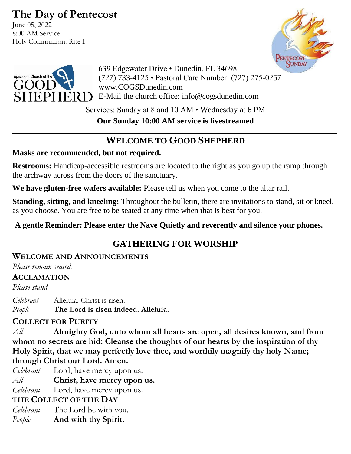# **The Day of Pentecost**

June 05, 2022 8:00 AM Service Holy Communion: Rite I





639 Edgewater Drive • Dunedin, FL 34698 (727) 733-4125 • Pastoral Care Number: (727) 275-0257 www.COGSDunedin.com  $PHER$   $\Box$  E-Mail the church office: info@cogsdunedin.com

Services: Sunday at 8 and 10 AM • Wednesday at 6 PM

**Our Sunday 10:00 AM service is livestreamed**

# **WELCOME TO GOOD SHEPHERD**

## **Masks are recommended, but not required.**

**Restrooms:** Handicap-accessible restrooms are located to the right as you go up the ramp through the archway across from the doors of the sanctuary.

**We have gluten-free wafers available:** Please tell us when you come to the altar rail.

**Standing, sitting, and kneeling:** Throughout the bulletin, there are invitations to stand, sit or kneel, as you choose. You are free to be seated at any time when that is best for you.

**A gentle Reminder: Please enter the Nave Quietly and reverently and silence your phones.**

# **GATHERING FOR WORSHIP**

## **WELCOME AND ANNOUNCEMENTS**

*Please remain seated.*

## **ACCLAMATION**

*Please stand.*

*Celebrant* Alleluia. Christ is risen. *People* **The Lord is risen indeed. Alleluia.**

## **COLLECT FOR PURITY**

*All* **Almighty God, unto whom all hearts are open, all desires known, and from whom no secrets are hid: Cleanse the thoughts of our hearts by the inspiration of thy Holy Spirit, that we may perfectly love thee, and worthily magnify thy holy Name; through Christ our Lord. Amen.**

- *Celebrant* Lord, have mercy upon us.
- *All* **Christ, have mercy upon us.**
- *Celebrant* Lord, have mercy upon us.

# **THE COLLECT OF THE DAY**

- *Celebrant* The Lord be with you.
- *People* **And with thy Spirit.**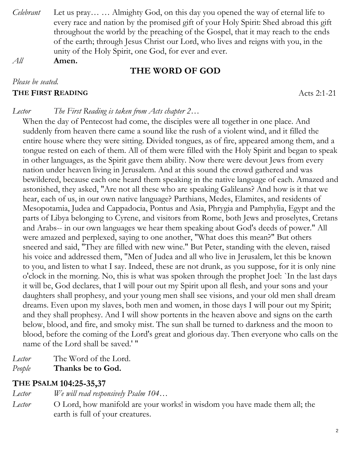- *Celebrant* Let us pray… … Almighty God, on this day you opened the way of eternal life to every race and nation by the promised gift of your Holy Spirit: Shed abroad this gift throughout the world by the preaching of the Gospel, that it may reach to the ends of the earth; through Jesus Christ our Lord, who lives and reigns with you, in the unity of the Holy Spirit, one God, for ever and ever.
- 
- *All* **Amen.**

## **THE WORD OF GOD**

*Please be seated.*

#### **THE FIRST READING** Acts 2:1-21

## *Lector The First Reading is taken from Acts chapter 2…*

When the day of Pentecost had come, the disciples were all together in one place. And suddenly from heaven there came a sound like the rush of a violent wind, and it filled the entire house where they were sitting. Divided tongues, as of fire, appeared among them, and a tongue rested on each of them. All of them were filled with the Holy Spirit and began to speak in other languages, as the Spirit gave them ability. Now there were devout Jews from every nation under heaven living in Jerusalem. And at this sound the crowd gathered and was bewildered, because each one heard them speaking in the native language of each. Amazed and astonished, they asked, "Are not all these who are speaking Galileans? And how is it that we hear, each of us, in our own native language? Parthians, Medes, Elamites, and residents of Mesopotamia, Judea and Cappadocia, Pontus and Asia, Phrygia and Pamphylia, Egypt and the parts of Libya belonging to Cyrene, and visitors from Rome, both Jews and proselytes, Cretans and Arabs-- in our own languages we hear them speaking about God's deeds of power." All were amazed and perplexed, saying to one another, "What does this mean?" But others sneered and said, "They are filled with new wine." But Peter, standing with the eleven, raised his voice and addressed them, "Men of Judea and all who live in Jerusalem, let this be known to you, and listen to what I say. Indeed, these are not drunk, as you suppose, for it is only nine o'clock in the morning. No, this is what was spoken through the prophet Joel: `In the last days it will be, God declares, that I will pour out my Spirit upon all flesh, and your sons and your daughters shall prophesy, and your young men shall see visions, and your old men shall dream dreams. Even upon my slaves, both men and women, in those days I will pour out my Spirit; and they shall prophesy. And I will show portents in the heaven above and signs on the earth below, blood, and fire, and smoky mist. The sun shall be turned to darkness and the moon to blood, before the coming of the Lord's great and glorious day. Then everyone who calls on the name of the Lord shall be saved.' "

*Lector* The Word of the Lord.

## *People* **Thanks be to God.**

## **THE PSALM 104:25-35,37**

*Lector We will read responsively Psalm 104…*

*Lector* O Lord, how manifold are your works! in wisdom you have made them all; the earth is full of your creatures.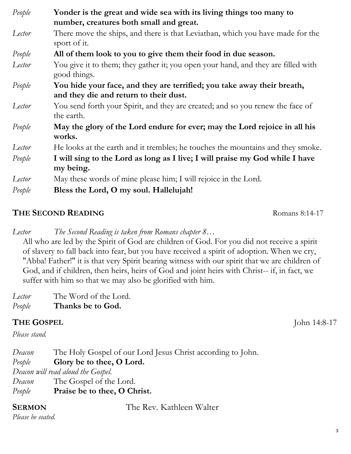| People | Yonder is the great and wide sea with its living things too many to                                               |  |
|--------|-------------------------------------------------------------------------------------------------------------------|--|
|        | number, creatures both small and great.                                                                           |  |
| Lector | There move the ships, and there is that Leviathan, which you have made for the<br>sport of it.                    |  |
| People | All of them look to you to give them their food in due season.                                                    |  |
| Lector | You give it to them; they gather it; you open your hand, and they are filled with<br>good things.                 |  |
| People | You hide your face, and they are terrified; you take away their breath,<br>and they die and return to their dust. |  |
| Lector | You send forth your Spirit, and they are created; and so you renew the face of<br>the earth.                      |  |
| People | May the glory of the Lord endure for ever; may the Lord rejoice in all his<br>works.                              |  |
| Lector | He looks at the earth and it trembles; he touches the mountains and they smoke.                                   |  |
| People | I will sing to the Lord as long as I live; I will praise my God while I have<br>my being.                         |  |
| Lector | May these words of mine please him; I will rejoice in the Lord.                                                   |  |
| People | Bless the Lord, O my soul. Hallelujah!                                                                            |  |

## **THE SECOND READING Romans** 8:14-17

*Lector The Second Reading is taken from Romans chapter 8…*

All who are led by the Spirit of God are children of God. For you did not receive a spirit of slavery to fall back into fear, but you have received a spirit of adoption. When we cry, "Abba! Father!" it is that very Spirit bearing witness with our spirit that we are children of God, and if children, then heirs, heirs of God and joint heirs with Christ-- if, in fact, we suffer with him so that we may also be glorified with him.

*Lector* The Word of the Lord.

*People* **Thanks be to God.**

## **THE GOSPEL** John 14:8-17

*Please stand.*

*Deacon* The Holy Gospel of our Lord Jesus Christ according to John.

*People* **Glory be to thee, O Lord.** 

*Deacon will read aloud the Gospel.*

*Deacon* The Gospel of the Lord.

*People* **Praise be to thee, O Christ.**

**SERMON** The Rev. Kathleen Walter

*Please be seated.*

3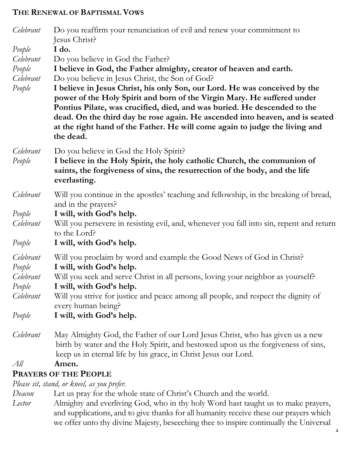#### **THE RENEWAL OF BAPTISMAL VOWS**

| Celebrant                                                                     | Do you reaffirm your renunciation of evil and renew your commitment to<br>Jesus Christ?                                                                                                                                                                                                                                                                                                                       |  |  |
|-------------------------------------------------------------------------------|---------------------------------------------------------------------------------------------------------------------------------------------------------------------------------------------------------------------------------------------------------------------------------------------------------------------------------------------------------------------------------------------------------------|--|--|
| People                                                                        | I do.                                                                                                                                                                                                                                                                                                                                                                                                         |  |  |
| Celebrant                                                                     | Do you believe in God the Father?                                                                                                                                                                                                                                                                                                                                                                             |  |  |
| I believe in God, the Father almighty, creator of heaven and earth.<br>People |                                                                                                                                                                                                                                                                                                                                                                                                               |  |  |
| Celebrant                                                                     | Do you believe in Jesus Christ, the Son of God?                                                                                                                                                                                                                                                                                                                                                               |  |  |
| People                                                                        | I believe in Jesus Christ, his only Son, our Lord. He was conceived by the<br>power of the Holy Spirit and born of the Virgin Mary. He suffered under<br>Pontius Pilate, was crucified, died, and was buried. He descended to the<br>dead. On the third day he rose again. He ascended into heaven, and is seated<br>at the right hand of the Father. He will come again to judge the living and<br>the dead. |  |  |
| Celebrant                                                                     | Do you believe in God the Holy Spirit?                                                                                                                                                                                                                                                                                                                                                                        |  |  |
| People                                                                        | I believe in the Holy Spirit, the holy catholic Church, the communion of<br>saints, the forgiveness of sins, the resurrection of the body, and the life<br>everlasting.                                                                                                                                                                                                                                       |  |  |
| Celebrant                                                                     | Will you continue in the apostles' teaching and fellowship, in the breaking of bread,<br>and in the prayers?                                                                                                                                                                                                                                                                                                  |  |  |
| People                                                                        | I will, with God's help.                                                                                                                                                                                                                                                                                                                                                                                      |  |  |
| Celebrant                                                                     | Will you persevere in resisting evil, and, whenever you fall into sin, repent and return<br>to the Lord?                                                                                                                                                                                                                                                                                                      |  |  |
| People                                                                        | I will, with God's help.                                                                                                                                                                                                                                                                                                                                                                                      |  |  |
| Celebrant<br>People                                                           | Will you proclaim by word and example the Good News of God in Christ?<br>I will, with God's help.                                                                                                                                                                                                                                                                                                             |  |  |
| Celebrant                                                                     | Will you seek and serve Christ in all persons, loving your neighbor as yourself?                                                                                                                                                                                                                                                                                                                              |  |  |
| People                                                                        | I will, with God's help.                                                                                                                                                                                                                                                                                                                                                                                      |  |  |
| Celebrant                                                                     | Will you strive for justice and peace among all people, and respect the dignity of<br>every human being?                                                                                                                                                                                                                                                                                                      |  |  |
| People                                                                        | I will, with God's help.                                                                                                                                                                                                                                                                                                                                                                                      |  |  |
| Celebrant                                                                     | May Almighty God, the Father of our Lord Jesus Christ, who has given us a new<br>birth by water and the Holy Spirit, and bestowed upon us the forgiveness of sins,                                                                                                                                                                                                                                            |  |  |

keep us in eternal life by his grace, in Christ Jesus our Lord.

## *All* **Amen.**

## **PRAYERS OF THE PEOPLE**

*Please sit, stand, or kneel, as you prefer.*

*Deacon* Let us pray for the whole state of Christ's Church and the world.

*Lector* Almighty and everliving God, who in thy holy Word hast taught us to make prayers, and supplications, and to give thanks for all humanity receive these our prayers which we offer unto thy divine Majesty, beseeching thee to inspire continually the Universal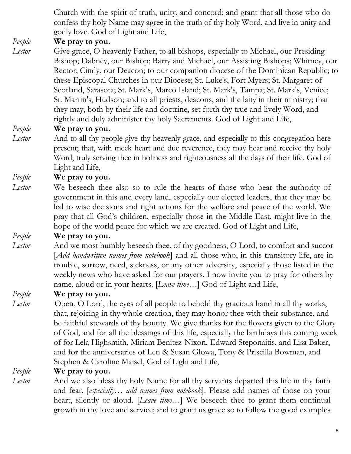Church with the spirit of truth, unity, and concord; and grant that all those who do confess thy holy Name may agree in the truth of thy holy Word, and live in unity and godly love. God of Light and Life,

## *People* **We pray to you.**

*Lector* Give grace, O heavenly Father, to all bishops, especially to Michael, our Presiding Bishop; Dabney, our Bishop; Barry and Michael, our Assisting Bishops; Whitney, our Rector; Cindy, our Deacon; to our companion diocese of the Dominican Republic; to these Episcopal Churches in our Diocese; St. Luke's, Fort Myers; St. Margaret of Scotland, Sarasota; St. Mark's, Marco Island; St. Mark's, Tampa; St. Mark's, Venice; St. Martin's, Hudson; and to all priests, deacons, and the laity in their ministry; that they may, both by their life and doctrine, set forth thy true and lively Word, and rightly and duly administer thy holy Sacraments. God of Light and Life,

## *People* **We pray to you.**

*Lector* And to all thy people give thy heavenly grace, and especially to this congregation here present; that, with meek heart and due reverence, they may hear and receive thy holy Word, truly serving thee in holiness and righteousness all the days of their life. God of Light and Life,

## *People* **We pray to you.**

*Lector* We beseech thee also so to rule the hearts of those who bear the authority of government in this and every land, especially our elected leaders, that they may be led to wise decisions and right actions for the welfare and peace of the world. We pray that all God's children, especially those in the Middle East, might live in the hope of the world peace for which we are created. God of Light and Life,

## *People* **We pray to you.**

*Lector* And we most humbly beseech thee, of thy goodness, O Lord, to comfort and succor [*Add handwritten names from notebook*] and all those who, in this transitory life, are in trouble, sorrow, need, sickness, or any other adversity, especially those listed in the weekly news who have asked for our prayers. I now invite you to pray for others by name, aloud or in your hearts. [*Leave time…*] God of Light and Life,

## *People* **We pray to you.**

*Lector* Open, O Lord, the eyes of all people to behold thy gracious hand in all thy works, that, rejoicing in thy whole creation, they may honor thee with their substance, and be faithful stewards of thy bounty. We give thanks for the flowers given to the Glory of God, and for all the blessings of this life, especially the birthdays this coming week of for Lela Highsmith, Miriam Benitez-Nixon, Edward Steponaitis, and Lisa Baker, and for the anniversaries of Len & Susan Glowa, Tony & Priscilla Bowman, and Stephen & Caroline Maisel, God of Light and Life,

## *People* **We pray to you.**

*Lector* And we also bless thy holy Name for all thy servants departed this life in thy faith and fear, [*especially… add names from notebook*]. Please add names of those on your heart, silently or aloud. [*Leave time…*] We beseech thee to grant them continual growth in thy love and service; and to grant us grace so to follow the good examples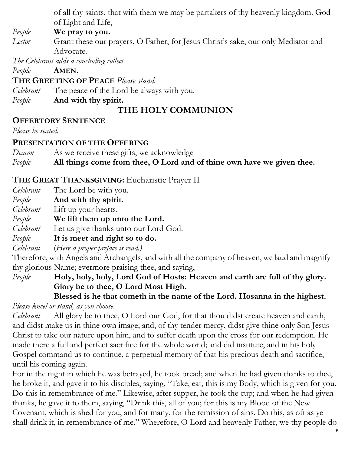of all thy saints, that with them we may be partakers of thy heavenly kingdom. God of Light and Life,

*People* **We pray to you.**

*Lector* Grant these our prayers, O Father, for Jesus Christ's sake, our only Mediator and Advocate.

*The Celebrant adds a concluding collect.* 

*People* **AMEN.**

**THE GREETING OF PEACE** *Please stand.*

- *Celebrant* The peace of the Lord be always with you.
- *People* **And with thy spirit.**

# **THE HOLY COMMUNION**

## **OFFERTORY SENTENCE**

*Please be seated.*

## **PRESENTATION OF THE OFFERING**

*Deacon* As we receive these gifts, we acknowledge

*People* **All things come from thee, O Lord and of thine own have we given thee.**

## **THE GREAT THANKSGIVING:** Eucharistic Prayer II

- *Celebrant* The Lord be with you.
- *People* **And with thy spirit.**
- *Celebrant* Lift up your hearts.
- *People* **We lift them up unto the Lord.**

*Celebrant* Let us give thanks unto our Lord God.

*People* **It is meet and right so to do.**

*Celebrant* (*Here a proper preface is read.)*

Therefore, with Angels and Archangels, and with all the company of heaven, we laud and magnify thy glorious Name; evermore praising thee, and saying,

*People* **Holy, holy, holy, Lord God of Hosts: Heaven and earth are full of thy glory. Glory be to thee, O Lord Most High.** 

**Blessed is he that cometh in the name of the Lord. Hosanna in the highest.**

*Please kneel or stand, as you choose.*

*Celebrant* All glory be to thee, O Lord our God, for that thou didst create heaven and earth, and didst make us in thine own image; and, of thy tender mercy, didst give thine only Son Jesus Christ to take our nature upon him, and to suffer death upon the cross for our redemption. He made there a full and perfect sacrifice for the whole world; and did institute, and in his holy Gospel command us to continue, a perpetual memory of that his precious death and sacrifice, until his coming again.

For in the night in which he was betrayed, he took bread; and when he had given thanks to thee, he broke it, and gave it to his disciples, saying, "Take, eat, this is my Body, which is given for you. Do this in remembrance of me." Likewise, after supper, he took the cup; and when he had given thanks, he gave it to them, saying, "Drink this, all of you; for this is my Blood of the New Covenant, which is shed for you, and for many, for the remission of sins. Do this, as oft as ye shall drink it, in remembrance of me." Wherefore, O Lord and heavenly Father, we thy people do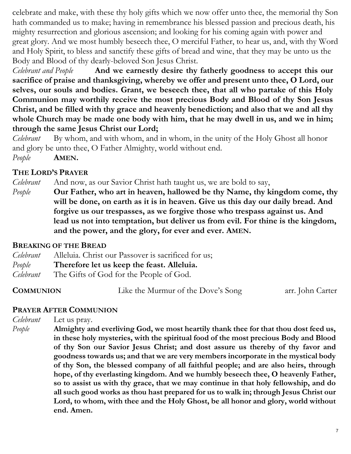celebrate and make, with these thy holy gifts which we now offer unto thee, the memorial thy Son hath commanded us to make; having in remembrance his blessed passion and precious death, his mighty resurrection and glorious ascension; and looking for his coming again with power and great glory. And we most humbly beseech thee, O merciful Father, to hear us, and, with thy Word and Holy Spirit, to bless and sanctify these gifts of bread and wine, that they may be unto us the Body and Blood of thy dearly-beloved Son Jesus Christ.

*Celebrant and People* **And we earnestly desire thy fatherly goodness to accept this our sacrifice of praise and thanksgiving, whereby we offer and present unto thee, O Lord, our selves, our souls and bodies. Grant, we beseech thee, that all who partake of this Holy Communion may worthily receive the most precious Body and Blood of thy Son Jesus Christ, and be filled with thy grace and heavenly benediction; and also that we and all thy whole Church may be made one body with him, that he may dwell in us, and we in him; through the same Jesus Christ our Lord;** 

*Celebrant* By whom, and with whom, and in whom, in the unity of the Holy Ghost all honor and glory be unto thee, O Father Almighty, world without end. *People* **AMEN.**

## **THE LORD'S PRAYER**

*Celebrant* And now, as our Savior Christ hath taught us, we are bold to say,

*People* **Our Father, who art in heaven, hallowed be thy Name, thy kingdom come, thy will be done, on earth as it is in heaven. Give us this day our daily bread. And forgive us our trespasses, as we forgive those who trespass against us. And lead us not into temptation, but deliver us from evil. For thine is the kingdom, and the power, and the glory, for ever and ever. AMEN.**

#### **BREAKING OF THE BREAD**

*Celebrant* Alleluia. Christ our Passover is sacrificed for us; *People* **Therefore let us keep the feast. Alleluia.** *Celebrant* The Gifts of God for the People of God.

**COMMUNION** Like the Murmur of the Dove's Song arr. John Carter

## **PRAYER AFTER COMMUNION**

*Celebrant* Let us pray.

*People* **Almighty and everliving God, we most heartily thank thee for that thou dost feed us, in these holy mysteries, with the spiritual food of the most precious Body and Blood of thy Son our Savior Jesus Christ; and dost assure us thereby of thy favor and goodness towards us; and that we are very members incorporate in the mystical body of thy Son, the blessed company of all faithful people; and are also heirs, through hope, of thy everlasting kingdom. And we humbly beseech thee, O heavenly Father, so to assist us with thy grace, that we may continue in that holy fellowship, and do all such good works as thou hast prepared for us to walk in; through Jesus Christ our Lord, to whom, with thee and the Holy Ghost, be all honor and glory, world without end. Amen.**